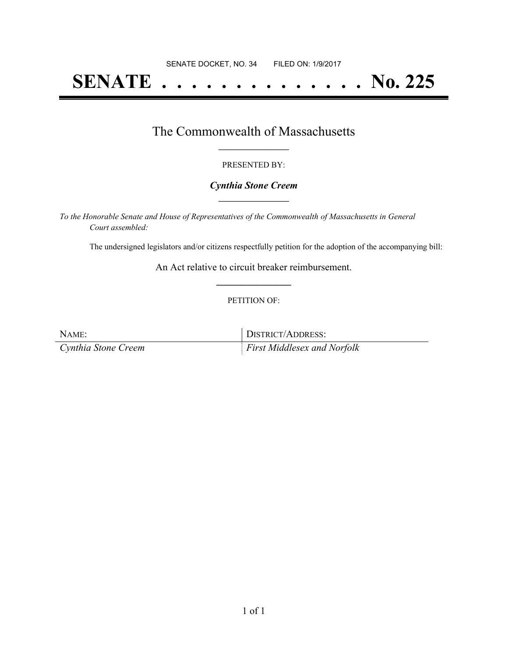# **SENATE . . . . . . . . . . . . . . No. 225**

### The Commonwealth of Massachusetts **\_\_\_\_\_\_\_\_\_\_\_\_\_\_\_\_\_**

#### PRESENTED BY:

#### *Cynthia Stone Creem* **\_\_\_\_\_\_\_\_\_\_\_\_\_\_\_\_\_**

*To the Honorable Senate and House of Representatives of the Commonwealth of Massachusetts in General Court assembled:*

The undersigned legislators and/or citizens respectfully petition for the adoption of the accompanying bill:

An Act relative to circuit breaker reimbursement. **\_\_\_\_\_\_\_\_\_\_\_\_\_\_\_**

#### PETITION OF:

| NAME:               | DISTRICT/ADDRESS:                  |
|---------------------|------------------------------------|
| Cynthia Stone Creem | <i>First Middlesex and Norfolk</i> |